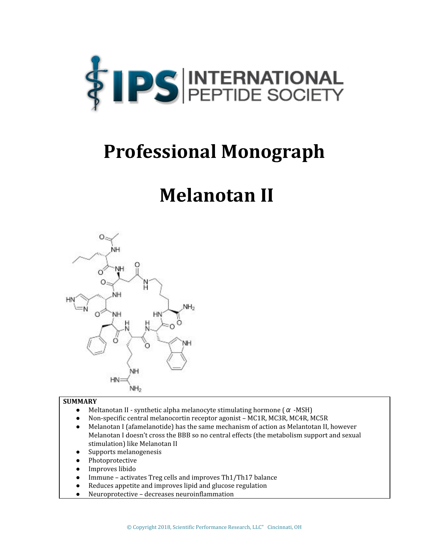

# **Professional Monograph**

# **Melanotan II**



#### **SUMMARY**

- Meltanotan II synthetic alpha melanocyte stimulating hormone ( $\alpha$  -MSH)
- **●** Non-specific central melanocortin receptor agonist MC1R, MC3R, MC4R, MC5R
- Melanotan I (afamelanotide) has the same mechanism of action as Melantotan II, however Melanotan I doesn't cross the BBB so no central effects (the metabolism support and sexual stimulation) like Melanotan II
- Supports melanogenesis
- **●** Photoprotective
- **●** Improves libido
- **●** Immune activates Treg cells and improves Th1/Th17 balance
- **●** Reduces appetite and improves lipid and glucose regulation
- **●** Neuroprotective decreases neuroinflammation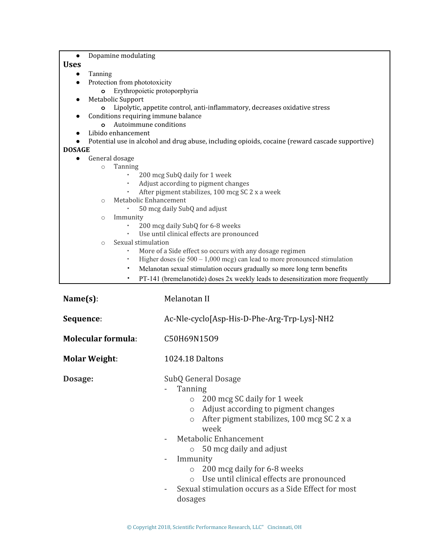| Dopamine modulating<br>$\bullet$                                                                |                                                                             |
|-------------------------------------------------------------------------------------------------|-----------------------------------------------------------------------------|
| <b>Uses</b>                                                                                     |                                                                             |
| Tanning<br>$\bullet$<br>Protection from phototoxicity<br>$\bullet$                              |                                                                             |
| Erythropoietic protoporphyria<br>$\circ$                                                        |                                                                             |
| Metabolic Support<br>$\bullet$                                                                  |                                                                             |
| Lipolytic, appetite control, anti-inflammatory, decreases oxidative stress                      |                                                                             |
| Conditions requiring immune balance<br>$\bullet$                                                |                                                                             |
| Autoimmune conditions<br>$\circ$                                                                |                                                                             |
| Libido enhancement<br>$\bullet$                                                                 |                                                                             |
| Potential use in alcohol and drug abuse, including opioids, cocaine (reward cascade supportive) |                                                                             |
| <b>DOSAGE</b>                                                                                   |                                                                             |
| General dosage<br>$\bullet$<br>Tanning                                                          |                                                                             |
| $\circ$<br>200 mcg SubQ daily for 1 week                                                        |                                                                             |
| Adjust according to pigment changes<br>٠                                                        |                                                                             |
| After pigment stabilizes, 100 mcg SC 2 x a week                                                 |                                                                             |
| Metabolic Enhancement<br>$\circ$                                                                |                                                                             |
| 50 mcg daily SubQ and adjust                                                                    |                                                                             |
| Immunity<br>$\circ$                                                                             |                                                                             |
| 200 mcg daily SubQ for 6-8 weeks                                                                |                                                                             |
| Use until clinical effects are pronounced                                                       |                                                                             |
| Sexual stimulation<br>$\circ$                                                                   |                                                                             |
|                                                                                                 | More of a Side effect so occurs with any dosage regimen                     |
| ٠                                                                                               | Higher doses (ie $500 - 1,000$ mcg) can lead to more pronounced stimulation |
| ٠                                                                                               | Melanotan sexual stimulation occurs gradually so more long term benefits    |
| PT-141 (bremelanotide) doses 2x weekly leads to desensitization more frequently                 |                                                                             |
| $Name(s)$ :                                                                                     | Melanotan II                                                                |
|                                                                                                 |                                                                             |
| Sequence:                                                                                       | Ac-Nle-cyclo[Asp-His-D-Phe-Arg-Trp-Lys]-NH2                                 |
| <b>Molecular formula:</b>                                                                       | C50H69N1509                                                                 |
|                                                                                                 |                                                                             |
| <b>Molar Weight:</b>                                                                            | 1024.18 Daltons                                                             |
| Dosage:                                                                                         | SubQ General Dosage                                                         |
|                                                                                                 | Tanning                                                                     |
|                                                                                                 | o 200 mcg SC daily for 1 week                                               |
|                                                                                                 | Adjust according to pigment changes<br>$\circ$                              |
|                                                                                                 | After pigment stabilizes, 100 mcg SC 2 x a                                  |
|                                                                                                 | $\circ$                                                                     |
|                                                                                                 | week                                                                        |

- Metabolic Enhancement
	- o 50 mcg daily and adjust
- Immunity
	- o 200 mcg daily for 6-8 weeks
	- o Use until clinical effects are pronounced
- Sexual stimulation occurs as a Side Effect for most dosages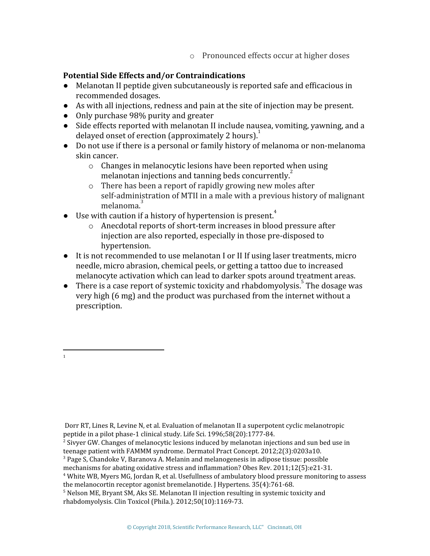o Pronounced effects occur at higher doses

# **Potential Side Effects and/or Contraindications**

- Melanotan II peptide given subcutaneously is reported safe and efficacious in recommended dosages.
- As with all injections, redness and pain at the site of injection may be present.
- Only purchase 98% purity and greater
- Side effects reported with melanotan II include nausea, vomiting, yawning, and a delayed onset of erection (approximately 2 hours). $\frac{1}{1}$
- Do not use if there is a personal or family history of melanoma or non-melanoma skin cancer.
	- o Changes in melanocytic lesions have been reported when using melanotan injections and tanning beds concurrently. $\frac{2}{3}$
	- o There has been a report of rapidly growing new moles after self-administration of MTII in a male with a previous history of malignant melanoma.<sup>3</sup>
- Use with caution if a history of hypertension is present.<sup>4</sup>
	- o Anecdotal reports of short-term increases in blood pressure after injection are also reported, especially in those pre-disposed to hypertension.
- It is not recommended to use melanotan I or II If using laser treatments, micro needle, micro abrasion, chemical peels, or getting a tattoo due to increased melanocyte activation which can lead to darker spots around treatment areas.
- There is a case report of systemic toxicity and rhabdomyolysis. The dosage was very high (6 mg) and the product was purchased from the internet without a prescription.

1

Dorr RT, Lines R, Levine N, et al. Evaluation of melanotan II a superpotent cyclic melanotropic peptide in a pilot phase-1 clinical study. Life Sci. 1996;58(20):1777-84.

<sup>&</sup>lt;sup>2</sup> Sivyer GW. Changes of melanocytic lesions induced by melanotan injections and sun bed use in teenage patient with FAMMM syndrome. Dermatol Pract Concept. 2012;2(3):0203a10.

 $3$  Page S, Chandoke V, Baranova A. Melanin and melanogenesis in adipose tissue: possible

mechanisms for abating oxidative stress and inflammation? Obes Rev. 2011;12(5):e21-31.

<sup>4</sup> White WB, Myers MG, Jordan R, et al. Usefullness of ambulatory blood pressure monitoring to assess the melanocortin receptor agonist bremelanotide. J Hypertens. 35(4):761-68.

<sup>&</sup>lt;sup>5</sup> Nelson ME, Bryant SM, Aks SE. Melanotan II injection resulting in systemic toxicity and rhabdomyolysis. Clin Toxicol (Phila.). 2012;50(10):1169-73.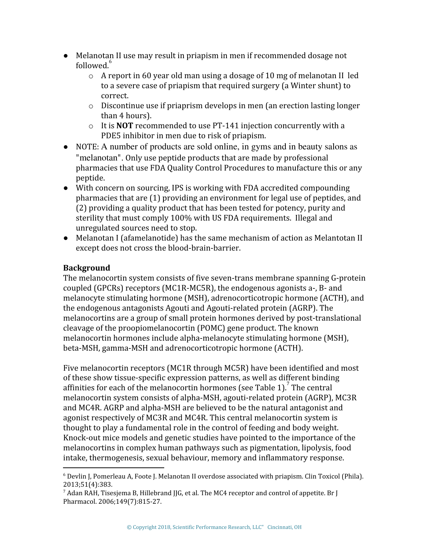- Melanotan II use may result in priapism in men if recommended dosage not  $followed<sup>6</sup>$ 
	- o A report in 60 year old man using a dosage of 10 mg of melanotan II led to a severe case of priapism that required surgery (a Winter shunt) to correct.
	- $\circ$  Discontinue use if priaprism develops in men (an erection lasting longer than 4 hours).
	- o It is **NOT** recommended to use PT-141 injection concurrently with a PDE5 inhibitor in men due to risk of priapism.
- NOTE: A number of products are sold online, in gyms and in beauty salons as "melanotan". Only use peptide products that are made by professional pharmacies that use FDA Quality Control Procedures to manufacture this or any peptide.
- With concern on sourcing, IPS is working with FDA accredited compounding pharmacies that are (1) providing an environment for legal use of peptides, and (2) providing a quality product that has been tested for potency, purity and sterility that must comply 100% with US FDA requirements. Illegal and unregulated sources need to stop.
- Melanotan I (afamelanotide) has the same mechanism of action as Melantotan II except does not cross the blood-brain-barrier.

# **Background**

The melanocortin system consists of five seven-trans membrane spanning G-protein coupled (GPCRs) receptors (MC1R-MC5R), the endogenous agonists a-, B- and melanocyte stimulating hormone (MSH), adrenocorticotropic hormone (ACTH), and the endogenous antagonists Agouti and Agouti-related protein (AGRP). The melanocortins are a group of small protein hormones derived by post-translational cleavage of the proopiomelanocortin (POMC) gene product. The known melanocortin hormones include alpha-melanocyte stimulating hormone (MSH), beta-MSH, gamma-MSH and adrenocorticotropic hormone (ACTH).

Five melanocortin receptors (MC1R through MC5R) have been identified and most of these show tissue-specific expression patterns, as well as different binding affinities for each of the melanocortin hormones (see Table 1).<sup>7</sup> The central melanocortin system consists of alpha-MSH, agouti-related protein (AGRP), MC3R and MC4R. AGRP and alpha-MSH are believed to be the natural antagonist and agonist respectively of MC3R and MC4R. This central melanocortin system is thought to play a fundamental role in the control of feeding and body weight. Knock-out mice models and genetic studies have pointed to the importance of the melanocortins in complex human pathways such as pigmentation, lipolysis, food intake, thermogenesis, sexual behaviour, memory and inflammatory response.

 $6$  Devlin J, Pomerleau A, Foote J. Melanotan II overdose associated with priapism. Clin Toxicol (Phila). 2013;51(4):383.

 $^7$  Adan RAH, Tisesjema B, Hillebrand JJG, et al. The MC4 receptor and control of appetite. Br J Pharmacol. 2006;149(7):815-27.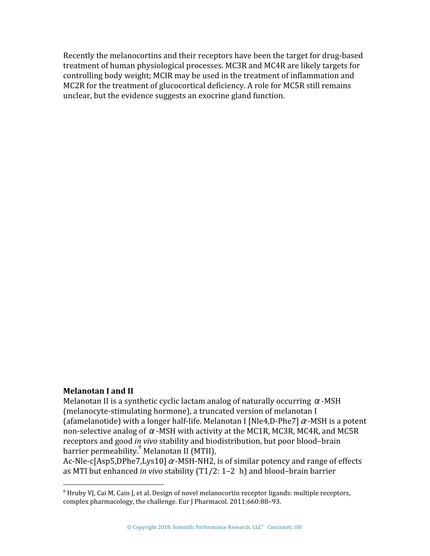Recently the melanocortins and their receptors have been the target for drug-based treatment of human physiological processes. MC3R and MC4R are likely targets for controlling body weight; MCIR may be used in the treatment of inflammation and MC2R for the treatment of glucocortical deficiency. A role for MC5R still remains unclear, but the evidence suggests an exocrine gland function.

#### **Melanotan I and II**

Melanotan II is a synthetic cyclic lactam analog of naturally occurring  $\alpha$ -MSH (melanocyte-stimulating hormone), a truncated version of melanotan I (afamelanotide) with a longer half-life. Melanotan I [Nle4,D-Phe7]  $\alpha$ -MSH is a potent non-selective analog of  $\alpha$ -MSH with activity at the MC1R, MC3R, MC4R, and MC5R receptors and good *in vivo* stability and biodistribution, but poor blood–brain  $barrier$  permeability. $8$  Melanotan II (MTII),

Ac-Nle-c[Asp5,DPhe7,Lys10]  $\alpha$ -MSH-NH2, is of similar potency and range of effects as MTI but enhanced *in vivo* stability (T1/2: 1–2 h) and blood–brain barrier

 $8$  Hruby VJ, Cai M, Cain J, et al. Design of novel melanocortin receptor ligands: multiple receptors, complex pharmacology, the challenge. Eur J Pharmacol. 2011;660:88–93.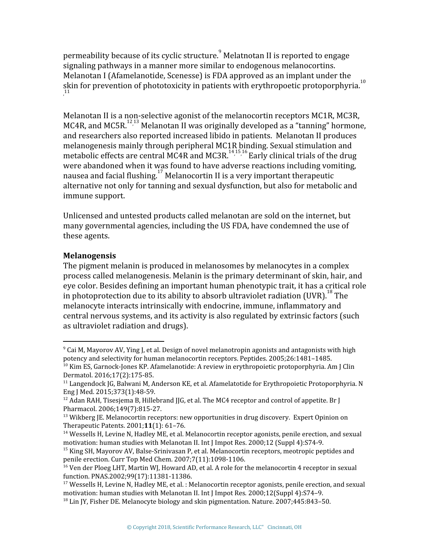permeability because of its cyclic structure. Melatnotan II is reported to engage signaling pathways in a manner more similar to endogenous melanocortins. Melanotan I (Afamelanotide, Scenesse) is FDA approved as an implant under the skin for prevention of phototoxicity in patients with erythropoetic protoporphyria. $^{10}$ , 11

Melanotan II is a non-selective agonist of the melanocortin receptors MC1R, MC3R, MC4R, and MC5R.<sup>12,13</sup> Melanotan II was originally developed as a "tanning" hormone, and researchers also reported increased libido in patients. Melanotan II produces melanogenesis mainly through peripheral MC1R binding. Sexual stimulation and metabolic effects are central MC4R and MC3R.<sup>141516</sup> Early clinical trials of the drug were abandoned when it was found to have adverse reactions including vomiting, nausea and facial flushing.<sup>17</sup> Melanocortin II is a very important therapeutic alternative not only for tanning and sexual dysfunction, but also for metabolic and immune support.

Unlicensed and untested products called melanotan are sold on the internet, but many governmental agencies, including the US FDA, have condemned the use of these agents.

### **Melanogensis**

The pigment melanin is produced in melanosomes by melanocytes in a complex process called melanogenesis. Melanin is the primary determinant of skin, hair, and eye color. Besides defining an important human phenotypic trait, it has a critical role in photoprotection due to its ability to absorb ultraviolet radiation (UVR).<sup>18</sup> The melanocyte interacts intrinsically with endocrine, immune, inflammatory and central nervous systems, and its activity is also regulated by extrinsic factors (such as ultraviolet radiation and drugs).

 $9$  Cai M, Mayorov AV, Ying J, et al. Design of novel melanotropin agonists and antagonists with high potency and selectivity for human melanocortin receptors. Peptides. 2005;26:1481–1485.

<sup>&</sup>lt;sup>10</sup> Kim ES, Garnock-Jones KP. Afamelanotide: A review in erythropoietic protoporphyria. Am J Clin Dermatol. 2016;17(2):175-85.

 $11$  Langendock IG, Balwani M, Anderson KE, et al. Afamelatotide for Erythropoietic Protoporphyria. N Eng J Med. 2015;373(1):48-59.

<sup>&</sup>lt;sup>12</sup> Adan RAH, Tisesjema B, Hillebrand JJG, et al. The MC4 receptor and control of appetite. Br J Pharmacol. 2006;149(7):815-27.

 $13$  Wikberg JE. Melanocortin receptors: new opportunities in drug discovery. Expert Opinion on Therapeutic Patents. 2001;**11**(1): 61–76.

<sup>&</sup>lt;sup>14</sup> Wessells H, Levine N, Hadley ME, et al. Melanocortin receptor agonists, penile erection, and sexual motivation: human studies with Melanotan II. Int J Impot Res. 2000;12 (Suppl 4):S74-9.

<sup>&</sup>lt;sup>15</sup> King SH, Mayorov AV, Balse-Srinivasan P, et al. Melanocortin receptors, meotropic peptides and penile erection. Curr Top Med Chem. 2007;7(11):1098-1106.

<sup>&</sup>lt;sup>16</sup> Ven der Ploeg LHT, Martin WJ, Howard AD, et al. A role for the melanocortin 4 receptor in sexual function. PNAS.2002;99(17):11381-11386.

 $17$  Wessells H, Levine N, Hadley ME, et al. : Melanocortin receptor agonists, penile erection, and sexual motivation: human studies with Melanotan II. Int J Impot Res*.* 2000;12(Suppl 4):S74–9.

 $18$  Lin JY, Fisher DE. Melanocyte biology and skin pigmentation. Nature. 2007;445:843–50.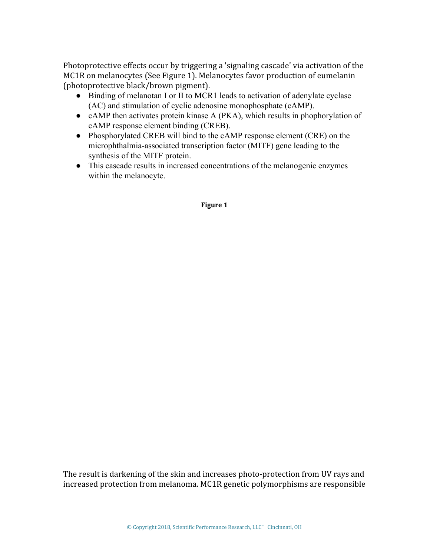Photoprotective effects occur by triggering a 'signaling cascade' via activation of the MC1R on melanocytes (See Figure 1). Melanocytes favor production of eumelanin (photoprotective black/brown pigment).

- Binding of melanotan I or II to MCR1 leads to activation of adenylate cyclase (AC) and stimulation of cyclic adenosine monophosphate (cAMP).
- cAMP then activates protein kinase A (PKA), which results in phophorylation of cAMP response element binding (CREB).
- Phosphorylated CREB will bind to the cAMP response element (CRE) on the microphthalmia-associated transcription factor (MITF) gene leading to the synthesis of the MITF protein.
- This cascade results in increased concentrations of the melanogenic enzymes within the melanocyte.

#### **Figure 1**

The result is darkening of the skin and increases photo-protection from UV rays and increased protection from melanoma. MC1R genetic polymorphisms are responsible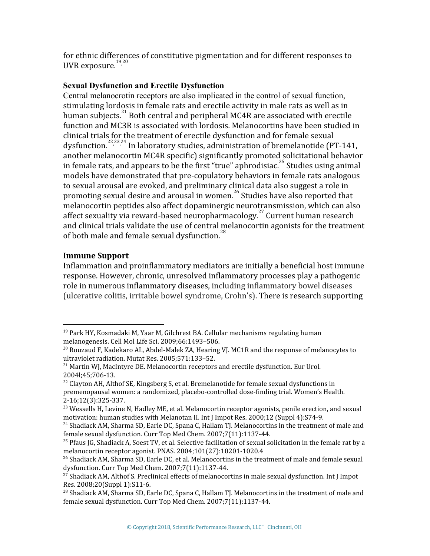for ethnic differences of constitutive pigmentation and for different responses to UVR exposure. '<sup>19,20</sup>

# **Sexual Dysfunction and Erectile Dysfunction**

Central melanocrotin receptors are also implicated in the control of sexual function, stimulating lordosis in female rats and erectile activity in male rats as well as in human subjects. $^{21}$  Both central and peripheral MC4R are associated with erectile function and MC3R is associated with lordosis. Melanocortins have been studied in clinical trials for the treatment of erectile dysfunction and for female sexual dysfunction.<sup>222324</sup> In laboratory studies, administration of bremelanotide (PT-141, another melanocortin MC4R specific) significantly promoted solicitational behavior in female rats, and appears to be the first "true" aphrodisiac.<sup>25</sup> Studies using animal models have demonstrated that pre-copulatory behaviors in female rats analogous to sexual arousal are evoked, and preliminary clinical data also suggest a role in promoting sexual desire and arousal in women.<sup>26</sup> Studies have also reported that melanocortin peptides also affect dopaminergic neurotransmission, which can also affect sexuality via reward-based neuropharmacology.<sup>27</sup> Current human research and clinical trials validate the use of central melanocortin agonists for the treatment of both male and female sexual dysfunction.<sup>28</sup>

### **Immune Support**

Inflammation and proinflammatory mediators are initially a beneficial host immune response. However, chronic, unresolved inflammatory processes play a pathogenic role in numerous inflammatory diseases, including inflammatory bowel diseases (ulcerative colitis, irritable bowel syndrome, Crohn's). There is research supporting

<sup>&</sup>lt;sup>19</sup> Park HY, Kosmadaki M, Yaar M, Gilchrest BA. Cellular mechanisms regulating human melanogenesis. Cell Mol Life Sci. 2009;66:1493–506.

 $^{20}$  Rouzaud F, Kadekaro AL, Abdel-Malek ZA, Hearing VJ. MC1R and the response of melanocytes to ultraviolet radiation. Mutat Res. 2005;571:133–52.

 $21$  Martin WJ, MacIntyre DE. Melanocortin receptors and erectile dysfunction. Eur Urol. 2004l;45;706-13.

 $^{22}$  Clayton AH, Althof SE, Kingsberg S, et al. Bremelanotide for female sexual dysfunctions in premenopausal women: a randomized, placebo-controlled dose-finding trial. Women's Health. 2-16;12(3):325-337.

<sup>&</sup>lt;sup>23</sup> Wessells H, Levine N, Hadley ME, et al. Melanocortin receptor agonists, penile erection, and sexual motivation: human studies with Melanotan II. Int J Impot Res. 2000;12 (Suppl 4):S74-9.

<sup>&</sup>lt;sup>24</sup> Shadiack AM, Sharma SD, Earle DC, Spana C, Hallam TJ. Melanocortins in the treatment of male and female sexual dysfunction. Curr Top Med Chem. 2007;7(11):1137-44.

<sup>&</sup>lt;sup>25</sup> Pfaus JG, Shadiack A, Soest TV, et al. Selective facilitation of sexual solicitation in the female rat by a melanocortin receptor agonist. PNAS. 2004;101(27):10201-1020.4

 $^{26}$  Shadiack AM, Sharma SD, Earle DC, et al. Melanocortins in the treatment of male and female sexual dysfunction. Curr Top Med Chem. 2007;7(11):1137-44.

<sup>&</sup>lt;sup>27</sup> Shadiack AM, Althof S. Preclinical effects of melanocortins in male sexual dysfunction. Int I Impot Res. 2008;20(Suppl 1):S11-6.

 $^{28}$  Shadiack AM, Sharma SD, Earle DC, Spana C, Hallam TJ. Melanocortins in the treatment of male and female sexual dysfunction. Curr Top Med Chem. 2007;7(11):1137-44.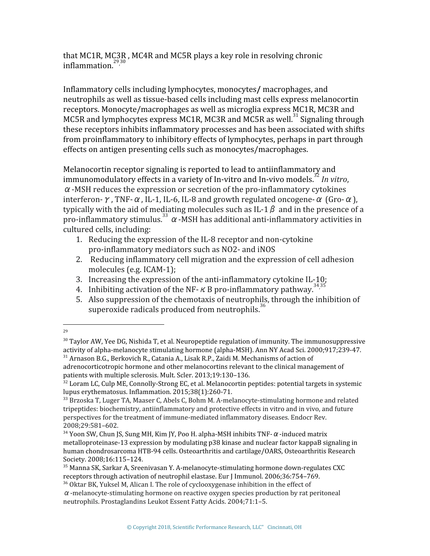that MC1R, MC3R , MC4R and MC5R plays a key role in resolving chronic inflammation.<sup>2930</sup>

Inflammatory cells including lymphocytes, monocytes**/** macrophages, and neutrophils as well as tissue-based cells including mast cells express melanocortin receptors. Monocyte/macrophages as well as microglia express MC1R, MC3R and MC5R and lymphocytes express MC1R, MC3R and MC5R as well.<sup>31</sup> Signaling through these receptors inhibits inflammatory processes and has been associated with shifts from proinflammatory to inhibitory effects of lymphocytes, perhaps in part through effects on antigen presenting cells such as monocytes/macrophages.

Melanocortin receptor signaling is reported to lead to antiinflammatory and immunomodulatory effects in a variety of In-vitro and In-vivo models. *In vitro*, 32  $\alpha$  -MSH reduces the expression or secretion of the pro-inflammatory cytokines interferon-γ, TNF- $\alpha$ , IL-1, IL-6, IL-8 and growth regulated oncogene- $\alpha$  (Gro- $\alpha$ ), typically with the aid of mediating molecules such as IL-1  $\beta$  and in the presence of a pro-inflammatory stimulus.<sup>33</sup>  $\alpha$  -MSH has additional anti-inflammatory activities in cultured cells, including:

- 1. Reducing the expression of the IL-8 receptor and non-cytokine pro-inflammatory mediators such as NO2- and iNOS
- 2. Reducing inflammatory cell migration and the expression of cell adhesion molecules (e.g. ICAM-1);
- 3. Increasing the expression of the anti-inflammatory cytokine IL-10;
- 4. Inhibiting activation of the NF- $\kappa$  B pro-inflammatory pathway.<sup>3435</sup>
- 5. Also suppression of the chemotaxis of neutrophils, through the inhibition of superoxide radicals produced from neutrophils.<sup>36</sup>

<sup>29</sup>

 $30$  Taylor AW, Yee DG, Nishida T, et al. Neuropeptide regulation of immunity. The immunosuppressive activity of alpha-melanocyte stimulating hormone (alpha-MSH). Ann NY Acad Sci. 2000;917;239-47.  $31$  Arnason B.G., Berkovich R., Catania A., Lisak R.P., Zaidi M. Mechanisms of action of adrenocorticotropic hormone and other melanocortins relevant to the clinical management of

patients with multiple sclerosis. Mult. Scler. 2013;19:130–136.

 $32$  Loram LC, Culp ME, Connolly-Strong EC, et al. Melanocortin peptides: potential targets in systemic lupus erythematosus. Inflammation. 2015;38(1):260-71.

 $33$  Brzoska T, Luger TA, Maaser C, Abels C, Bohm M, A-melanocyte-stimulating hormone and related tripeptides: biochemistry, antiinflammatory and protective effects in vitro and in vivo, and future perspectives for the treatment of immune-mediated inflammatory diseases. Endocr Rev. 2008;29:581–602.

 $34$  Yoon SW, Chun JS, Sung MH, Kim JY, Poo H. alpha-MSH inhibits TNF- $\alpha$ -induced matrix metalloproteinase-13 expression by modulating p38 kinase and nuclear factor kappaB signaling in human chondrosarcoma HTB-94 cells. Osteoarthritis and cartilage/OARS, Osteoarthritis Research Society. 2008;16:115–124.

<sup>35</sup> Manna SK, Sarkar A, Sreenivasan Y. A-melanocyte-stimulating hormone down-regulates CXC receptors through activation of neutrophil elastase. Eur J Immunol. 2006;36:754–769.

<sup>&</sup>lt;sup>36</sup> Oktar BK, Yuksel M, Alican I. The role of cyclooxygenase inhibition in the effect of

 $\alpha$ -melanocyte-stimulating hormone on reactive oxygen species production by rat peritoneal neutrophils. Prostaglandins Leukot Essent Fatty Acids. 2004;71:1–5.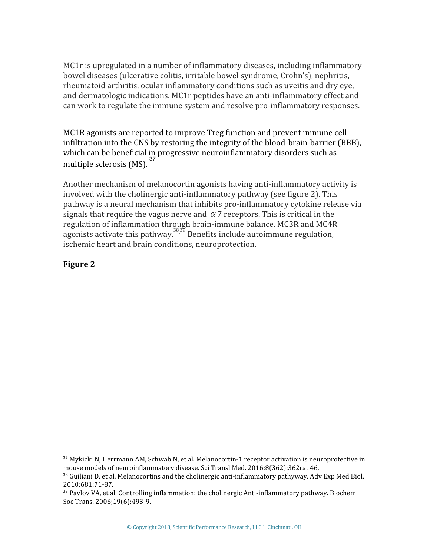MC1r is upregulated in a number of inflammatory diseases, including inflammatory bowel diseases (ulcerative colitis, irritable bowel syndrome, Crohn's), nephritis, rheumatoid arthritis, ocular inflammatory conditions such as uveitis and dry eye, and dermatologic indications. MC1r peptides have an anti-inflammatory effect and can work to regulate the immune system and resolve pro-inflammatory responses.

MC1R agonists are reported to improve Treg function and prevent immune cell infiltration into the CNS by restoring the integrity of the blood-brain-barrier (BBB), which can be beneficial in progressive neuroinflammatory disorders such as multiple sclerosis (MS). <sup>37</sup>

Another mechanism of melanocortin agonists having anti-inflammatory activity is involved with the cholinergic anti-inflammatory pathway (see figure 2). This pathway is a neural mechanism that inhibits pro-inflammatory cytokine release via signals that require the vagus nerve and  $\alpha$  7 receptors. This is critical in the regulation of inflammation through brain-immune balance. MC3R and MC4R agonists activate this pathway.  $38\frac{39}{7}$  Benefits include autoimmune regulation, ischemic heart and brain conditions, neuroprotection.

# **Figure 2**

 $37$  Mykicki N, Herrmann AM, Schwab N, et al. Melanocortin-1 receptor activation is neuroprotective in mouse models of neuroinflammatory disease. Sci Transl Med. 2016;8(362):362ra146.

<sup>&</sup>lt;sup>38</sup> Guiliani D, et al. Melanocortins and the cholinergic anti-inflammatory pathyway. Adv Exp Med Biol. 2010;681:71-87.

<sup>&</sup>lt;sup>39</sup> Pavlov VA, et al. Controlling inflammation: the cholinergic Anti-inflammatory pathway. Biochem Soc Trans. 2006;19(6):493-9.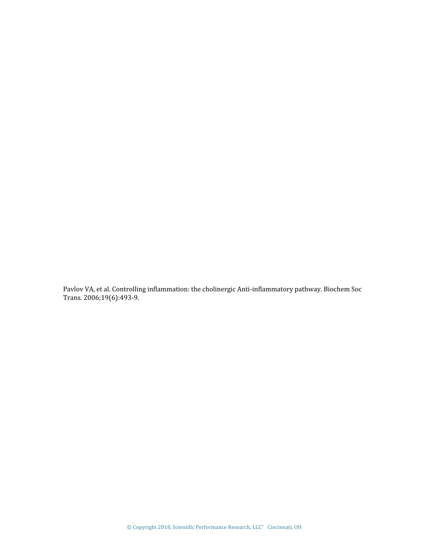Pavlov VA, et al. Controlling inflammation: the cholinergic Anti-inflammatory pathway. Biochem Soc Trans. 2006;19(6):493-9.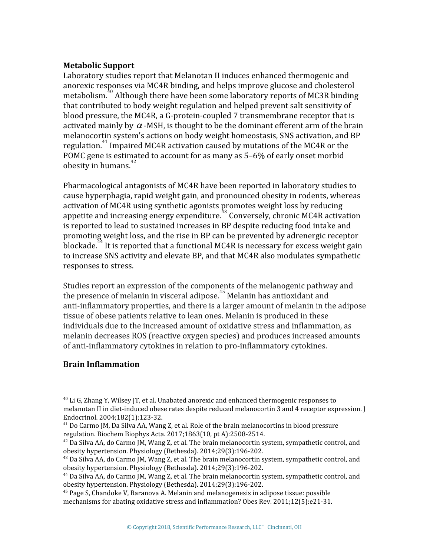### **Metabolic Support**

Laboratory studies report that Melanotan II induces enhanced thermogenic and anorexic responses via MC4R binding, and helps improve glucose and cholesterol metabolism.<sup> $30$ </sup> Although there have been some laboratory reports of MC3R binding that contributed to body weight regulation and helped prevent salt sensitivity of blood pressure, the MC4R, a G-protein-coupled 7 transmembrane receptor that is activated mainly by  $\alpha$ -MSH, is thought to be the dominant efferent arm of the brain melanocortin system's actions on body weight homeostasis, SNS activation, and BP regulation.<sup>41</sup> Impaired MC4R activation caused by mutations of the MC4R or the POMC gene is estimated to account for as many as 5–6% of early onset morbid obesity in humans. $42$ 

Pharmacological antagonists of MC4R have been reported in laboratory studies to cause hyperphagia, rapid weight gain, and pronounced obesity in rodents, whereas activation of MC4R using synthetic agonists promotes weight loss by reducing appetite and increasing energy expenditure.<sup> $43$ </sup> Conversely, chronic MC4R activation is reported to lead to sustained increases in BP despite reducing food intake and promoting weight loss, and the rise in BP can be prevented by adrenergic receptor  $\overline{\text{block}}$  is reported that a functional MC4R is necessary for excess weight gain to increase SNS activity and elevate BP, and that MC4R also modulates sympathetic responses to stress.

Studies report an expression of the components of the melanogenic pathway and the presence of melanin in visceral adipose.<sup>45</sup> Melanin has antioxidant and anti-inflammatory properties, and there is a larger amount of melanin in the adipose tissue of obese patients relative to lean ones. Melanin is produced in these individuals due to the increased amount of oxidative stress and inflammation, as melanin decreases ROS (reactive oxygen species) and produces increased amounts of anti-inflammatory cytokines in relation to pro-inflammatory cytokines.

#### **Brain Inflammation**

 $40$  Li G, Zhang Y, Wilsey IT, et al. Unabated anorexic and enhanced thermogenic responses to melanotan II in diet-induced obese rates despite reduced melanocortin 3 and 4 receptor expression. J Endocrinol. 2004;182(1):123-32.

 $41$  Do Carmo JM, Da Silva AA, Wang Z, et al. Role of the brain melanocortins in blood pressure regulation. Biochem Biophys Acta. 2017;1863(10, pt A):2508-2514.

 $42$  Da Silva AA, do Carmo JM, Wang Z, et al. The brain melanocortin system, sympathetic control, and obesity hypertension. Physiology (Bethesda). 2014;29(3):196-202.

 $43$  Da Silva AA, do Carmo JM, Wang Z, et al. The brain melanocortin system, sympathetic control, and obesity hypertension. Physiology (Bethesda). 2014;29(3):196-202.

<sup>44</sup> Da Silva AA, do Carmo JM, Wang Z, et al. The brain melanocortin system, sympathetic control, and obesity hypertension. Physiology (Bethesda). 2014;29(3):196-202.

<sup>45</sup> Page S, Chandoke V, Baranova A. Melanin and melanogenesis in adipose tissue: possible mechanisms for abating oxidative stress and inflammation? Obes Rev. 2011;12(5):e21-31.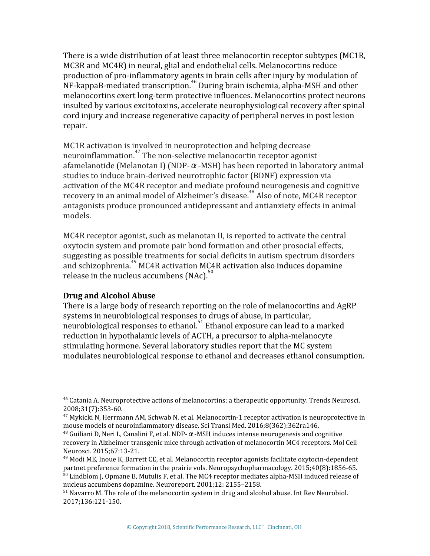There is a wide distribution of at least three melanocortin receptor subtypes (MC1R, MC3R and MC4R) in neural, glial and endothelial cells. Melanocortins reduce production of pro-inflammatory agents in brain cells after injury by modulation of  $NF$ -kappaB-mediated transcription.  $46$  During brain ischemia, alpha-MSH and other melanocortins exert long-term protective influences. Melanocortins protect neurons insulted by various excitotoxins, accelerate neurophysiological recovery after spinal cord injury and increase regenerative capacity of peripheral nerves in post lesion repair.

MC1R activation is involved in neuroprotection and helping decrease neuroinflammation.<sup> $47$ </sup> The non-selective melanocortin receptor agonist afamelanotide (Melanotan I) (NDP- $\alpha$ -MSH) has been reported in laboratory animal studies to induce brain-derived neurotrophic factor (BDNF) expression via activation of the MC4R receptor and mediate profound neurogenesis and cognitive recovery in an animal model of Alzheimer's disease.<sup>48</sup> Also of note, MC4R receptor antagonists produce pronounced antidepressant and antianxiety effects in animal models.

MC4R receptor agonist, such as melanotan II, is reported to activate the central oxytocin system and promote pair bond formation and other prosocial effects, suggesting as possible treatments for social deficits in autism spectrum disorders and schizophrenia. $^{49}$  MC4R activation MC4R activation also induces dopamine release in the nucleus accumbens  $(NAC)^3$ 

#### **Drug and Alcohol Abuse**

There is a large body of research reporting on the role of melanocortins and AgRP systems in neurobiological responses to drugs of abuse, in particular, neurobiological responses to ethanol.  $51$  Ethanol exposure can lead to a marked reduction in hypothalamic levels of ACTH, a precursor to alpha-melanocyte stimulating hormone. Several laboratory studies report that the MC system modulates neurobiological response to ethanol and decreases ethanol consumption.

<sup>46</sup> Catania A. Neuroprotective actions of melanocortins: a therapeutic opportunity. Trends Neurosci. 2008;31(7):353-60.

 $47$  Mykicki N, Herrmann AM, Schwab N, et al. Melanocortin-1 receptor activation is neuroprotective in mouse models of neuroinflammatory disease. Sci Transl Med. 2016;8(362):362ra146.

<sup>&</sup>lt;sup>48</sup> Guiliani D, Neri L, Canalini F, et al. NDP-α-MSH induces intense neurogenesis and cognitive recovery in Alzheimer transgenic mice through activation of melanocortin MC4 receptors. Mol Cell Neurosci. 2015;67:13-21.

 $49$  Modi ME, Inoue K, Barrett CE, et al. Melanocortin receptor agonists facilitate oxytocin-dependent partnet preference formation in the prairie vols. Neuropsychopharmacology. 2015;40(8):1856-65. <sup>50</sup> Lindblom J, Opmane B, Mutulis F, et al. The MC4 receptor mediates alpha-MSH induced release of nucleus accumbens dopamine. Neuroreport. 2001;12: 2155–2158.

 $<sup>51</sup>$  Navarro M. The role of the melanocortin system in drug and alcohol abuse. Int Rev Neurobiol.</sup> 2017;136:121-150.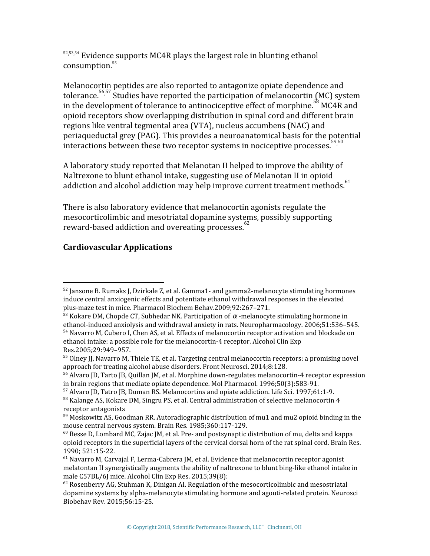$52,53,54$  Evidence supports MC4R plays the largest role in blunting ethanol consumption.<sup>55</sup>

Melanocortin peptides are also reported to antagonize opiate dependence and tolerance.  $5657$  Studies have reported the participation of melanocortin (MC) system in the development of tolerance to antinociceptive effect of morphine.  $58^{\circ}$  MC4R and opioid receptors show overlapping distribution in spinal cord and different brain regions like ventral tegmental area (VTA), nucleus accumbens (NAC) and periaqueductal grey (PAG). This provides a neuroanatomical basis for the potential interactions between these two receptor systems in nociceptive processes.  $\frac{5960}{90}$ 

A laboratory study reported that Melanotan II helped to improve the ability of Naltrexone to blunt ethanol intake, suggesting use of Melanotan II in opioid addiction and alcohol addiction may help improve current treatment methods.<sup>61</sup>

There is also laboratory evidence that melanocortin agonists regulate the mesocorticolimbic and mesotriatal dopamine systems, possibly supporting reward-based addiction and overeating processes.<sup>62</sup>

# **Cardiovascular Applications**

 $52$  Jansone B. Rumaks J. Dzirkale Z, et al. Gamma1- and gamma2-melanocyte stimulating hormones induce central anxiogenic effects and potentiate ethanol withdrawal responses in the elevated plus-maze test in mice. Pharmacol Biochem Behav.2009;92:267–271.

<sup>&</sup>lt;sup>53</sup> Kokare DM, Chopde CT, Subhedar NK. Participation of  $α$ -melanocyte stimulating hormone in ethanol-induced anxiolysis and withdrawal anxiety in rats. Neuropharmacology. 2006;51:536–545. <sup>54</sup> Navarro M, Cubero I, Chen AS, et al. Effects of melanocortin receptor activation and blockade on ethanol intake: a possible role for the melanocortin-4 receptor. Alcohol Clin Exp Res*.*2005*;*29:949–957.

<sup>&</sup>lt;sup>55</sup> Olney JJ, Navarro M, Thiele TE, et al. Targeting central melanocortin receptors: a promising novel approach for treating alcohol abuse disorders. Front Neurosci. 2014;8:128.

<sup>56</sup> Alvaro JD, Tarto JB, Quillan JM, et al. Morphine down-regulates melanocortin-4 receptor expression in brain regions that mediate opiate dependence. Mol Pharmacol. 1996;50(3):583-91.

 $57$  Alvaro JD, Tatro JB, Duman RS. Melanocortins and opiate addiction. Life Sci. 1997;61:1-9.

<sup>&</sup>lt;sup>58</sup> Kalange AS, Kokare DM, Singru PS, et al. Central administration of selective melanocortin 4 receptor antagonists

 $59$  Moskowitz AS, Goodman RR. Autoradiographic distribution of mu1 and mu2 opioid binding in the mouse central nervous system. Brain Res. 1985;360:117-129.

<sup>&</sup>lt;sup>60</sup> Besse D, Lombard MC, Zajac JM, et al. Pre- and postsynaptic distribution of mu, delta and kappa opioid receptors in the superficial layers of the cervical dorsal horn of the rat spinal cord. Brain Res. 1990; 521:15-22.

 $61$  Navarro M, Carvajal F, Lerma-Cabrera JM, et al. Evidence that melanocortin receptor agonist melatontan II synergistically augments the ability of naltrexone to blunt bing-like ethanol intake in male C57BL/6J mice. Alcohol Clin Exp Res. 2015;39(8):

 $62$  Rosenberry AG, Stuhman K, Dinigan AI. Regulation of the mesocorticolimbic and mesostriatal dopamine systems by alpha-melanocyte stimulating hormone and agouti-related protein. Neurosci Biobehav Rev. 2015;56:15-25.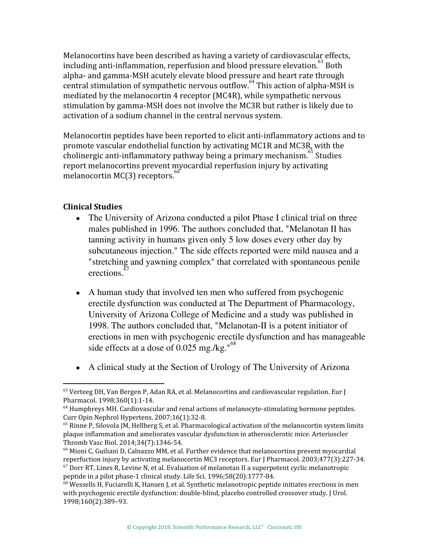Melanocortins have been described as having a variety of cardiovascular effects, including anti-inflammation, reperfusion and blood pressure elevation.  $^{63}$  Both alpha- and gamma-MSH acutely elevate blood pressure and heart rate through central stimulation of sympathetic nervous outflow. <sup>64</sup> This action of alpha-MSH is mediated by the melanocortin 4 receptor (MC4R), while sympathetic nervous stimulation by gamma-MSH does not involve the MC3R but rather is likely due to activation of a sodium channel in the central nervous system.

Melanocortin peptides have been reported to elicit anti-inflammatory actions and to promote vascular endothelial function by activating MC1R and MC3R, with the cholinergic anti-inflammatory pathway being a primary mechanism.  $^{65}$  Studies report melanocortins prevent myocardial reperfusion injury by activating melanocortin  $MC(3)$  receptors.

# **Clinical Studies**

- The University of Arizona conducted a pilot Phase I clinical trial on three males published in 1996. The authors concluded that, "Melanotan II has tanning activity in humans given only 5 low doses every other day by subcutaneous injection." The side effects reported were mild nausea and a "stretching and yawning complex" that correlated with spontaneous penile erections. 67
- A human study that involved ten men who suffered from psychogenic erectile dysfunction was conducted at The Department of Pharmacology, University of Arizona College of Medicine and a study was published in 1998. The authors concluded that, "Melanotan-II is a potent initiator of erections in men with psychogenic erectile dysfunction and has manageable side effects at a dose of  $0.025$  mg./kg." $^{68}$
- A clinical study at the Section of Urology of The University of Arizona

 $63$  Verteeg DH, Van Bergen P, Adan RA, et al. Melanocortins and cardiovascular regulation. Eur J Pharmacol. 1998;360(1):1-14.

 $64$  Humphreys MH. Cardiovascular and renal actions of melanocyte-stimulating hormone peptides. Curr Opin Nephrol Hypertens. 2007;16(1):32-8.

 $65$  Rinne P, Silovola JM, Hellberg S, et al. Pharmacological activation of the melanocortin system limits plaque inflammation and ameliorates vascular dysfunction in atherosclerotic mice. Arterioscler Thromb Vasc Biol. 2014;34(7):1346-54.

<sup>&</sup>lt;sup>66</sup> Mioni C, Guiliani D, Calnazzo MM, et al. Further evidence that melanocortins prevent myocardial reperfuction injury by activating melanocortin MC3 receptors. Eur J Pharmacol. 2003;477(3):227-34.

 $67$  Dorr RT, Lines R, Levine N, et al. Evaluation of melanotan II a superpotent cyclic melanotropic peptide in a pilot phase-1 clinical study. Life Sci. 1996;58(20):1777-84.

 $68$  Wessells H, Fuciarelli K, Hansen J, et al. Synthetic melanotropic peptide initiates erections in men with psychogenic erectile dysfunction: double-blind, placebo controlled crossover study. J Urol. 1998;160(2):389–93.